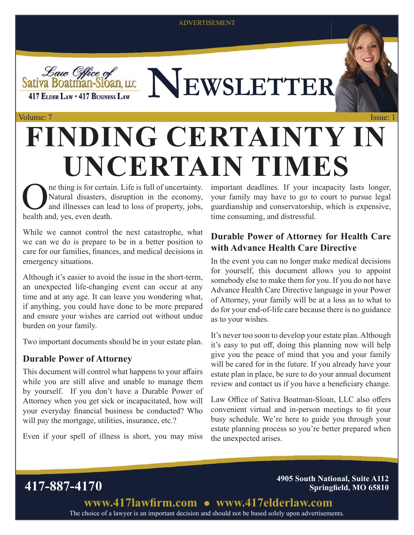ADVERTISEMENT





### Volume: 7 Issue: 1 **FINDING CERTAINTY IN UNCERTAIN TIMES**

ne thing is for certain. Life is full of uncertainty. Natural disasters, disruption in the economy, and illnesses can lead to loss of property, jobs, health and, yes, even death.

While we cannot control the next catastrophe, what we can we do is prepare to be in a better position to care for our families, finances, and medical decisions in emergency situations.

Although it's easier to avoid the issue in the short-term, an unexpected life-changing event can occur at any time and at any age. It can leave you wondering what, if anything, you could have done to be more prepared and ensure your wishes are carried out without undue burden on your family.

Two important documents should be in your estate plan.

#### **Durable Power of Attorney**

This document will control what happens to your affairs while you are still alive and unable to manage them by yourself. If you don't have a Durable Power of Attorney when you get sick or incapacitated, how will your everyday financial business be conducted? Who will pay the mortgage, utilities, insurance, etc.?

Even if your spell of illness is short, you may miss

important deadlines. If your incapacity lasts longer, your family may have to go to court to pursue legal guardianship and conservatorship, which is expensive, time consuming, and distressful.

#### **Durable Power of Attorney for Health Care with Advance Health Care Directive**

In the event you can no longer make medical decisions for yourself, this document allows you to appoint somebody else to make them for you. If you do not have Advance Health Care Directive language in your Power of Attorney, your family will be at a loss as to what to do for your end-of-life care because there is no guidance as to your wishes.

It's never too soon to develop your estate plan. Although it's easy to put off, doing this planning now will help give you the peace of mind that you and your family will be cared for in the future. If you already have your estate plan in place, be sure to do your annual document review and contact us if you have a beneficiary change.

Law Office of Sativa Boatman-Sloan, LLC also offers convenient virtual and in-person meetings to fit your busy schedule. We're here to guide you through your estate planning process so you're better prepared when the unexpected arises.

**417-887-4170 4905 South National, Suite A112 Springfield, MO 65810** 

> The choice of a lawyer is an important decision and should not be based solely upon advertisements. www.417lawfirm.com • www.417elderlaw.com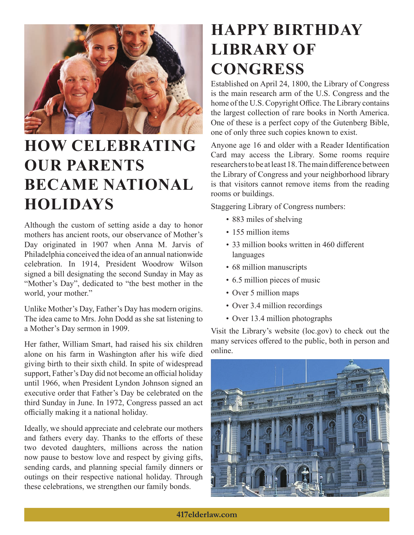

## **HOW CELEBRATING OUR PARENTS BECAME NATIONAL HOLIDAYS**

Although the custom of setting aside a day to honor mothers has ancient roots, our observance of Mother's Day originated in 1907 when Anna M. Jarvis of Philadelphia conceived the idea of an annual nationwide celebration. In 1914, President Woodrow Wilson signed a bill designating the second Sunday in May as "Mother's Day", dedicated to "the best mother in the world, your mother."

Unlike Mother's Day, Father's Day has modern origins. The idea came to Mrs. John Dodd as she sat listening to a Mother's Day sermon in 1909.

Her father, William Smart, had raised his six children alone on his farm in Washington after his wife died giving birth to their sixth child. In spite of widespread support, Father's Day did not become an official holiday until 1966, when President Lyndon Johnson signed an executive order that Father's Day be celebrated on the third Sunday in June. In 1972, Congress passed an act officially making it a national holiday.

Ideally, we should appreciate and celebrate our mothers and fathers every day. Thanks to the efforts of these two devoted daughters, millions across the nation now pause to bestow love and respect by giving gifts, sending cards, and planning special family dinners or outings on their respective national holiday. Through these celebrations, we strengthen our family bonds.

### **HAPPY BIRTHDAY LIBRARY OF CONGRESS**

Established on April 24, 1800, the Library of Congress is the main research arm of the U.S. Congress and the home of the U.S. Copyright Office. The Library contains the largest collection of rare books in North America. One of these is a perfect copy of the Gutenberg Bible, one of only three such copies known to exist.

Anyone age 16 and older with a Reader Identification Card may access the Library. Some rooms require researchers to be at least 18. The main difference between the Library of Congress and your neighborhood library is that visitors cannot remove items from the reading rooms or buildings.

Staggering Library of Congress numbers:

- 883 miles of shelving
- 155 million items
- 33 million books written in 460 different languages
- 68 million manuscripts
- 6.5 million pieces of music
- Over 5 million maps
- Over 3.4 million recordings
- Over 13.4 million photographs

Visit the Library's website (loc.gov) to check out the many services offered to the public, both in person and online.

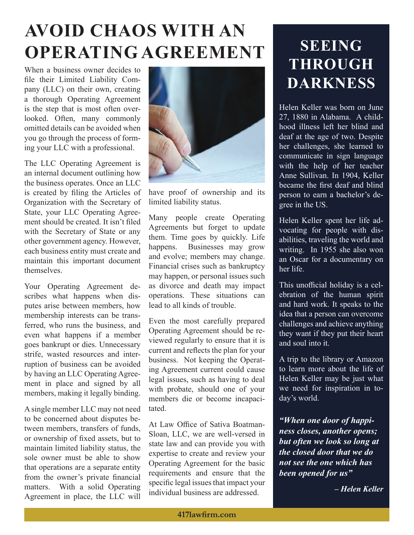# **AVOID CHAOS WITH AN OPERATING AGREEMENT**

When a business owner decides to file their Limited Liability Company (LLC) on their own, creating a thorough Operating Agreement is the step that is most often overlooked. Often, many commonly omitted details can be avoided when you go through the process of forming your LLC with a professional.

The LLC Operating Agreement is an internal document outlining how the business operates. Once an LLC is created by filing the Articles of Organization with the Secretary of State, your LLC Operating Agreement should be created. It isn't filed with the Secretary of State or any other government agency. However, each business entity must create and maintain this important document themselves.

Your Operating Agreement describes what happens when disputes arise between members, how membership interests can be transferred, who runs the business, and even what happens if a member goes bankrupt or dies. Unnecessary strife, wasted resources and interruption of business can be avoided by having an LLC Operating Agreement in place and signed by all members, making it legally binding.

A single member LLC may not need to be concerned about disputes between members, transfers of funds, or ownership of fixed assets, but to maintain limited liability status, the sole owner must be able to show that operations are a separate entity from the owner's private financial matters. With a solid Operating Agreement in place, the LLC will



have proof of ownership and its limited liability status.

Many people create Operating Agreements but forget to update them. Time goes by quickly. Life happens. Businesses may grow and evolve; members may change. Financial crises such as bankruptcy may happen, or personal issues such as divorce and death may impact operations. These situations can lead to all kinds of trouble.

Even the most carefully prepared Operating Agreement should be reviewed regularly to ensure that it is current and reflects the plan for your business. Not keeping the Operating Agreement current could cause legal issues, such as having to deal with probate, should one of your members die or become incapacitated.

At Law Office of Sativa Boatman-Sloan, LLC, we are well-versed in state law and can provide you with expertise to create and review your Operating Agreement for the basic requirements and ensure that the specific legal issues that impact your individual business are addressed.

### **SEEING THROUGH DARKNESS**

Helen Keller was born on June 27, 1880 in Alabama. A childhood illness left her blind and deaf at the age of two. Despite her challenges, she learned to communicate in sign language with the help of her teacher Anne Sullivan. In 1904, Keller became the first deaf and blind person to earn a bachelor's degree in the US.

Helen Keller spent her life advocating for people with disabilities, traveling the world and writing. In 1955 she also won an Oscar for a documentary on her life.

This unofficial holiday is a celebration of the human spirit and hard work. It speaks to the idea that a person can overcome challenges and achieve anything they want if they put their heart and soul into it.

A trip to the library or Amazon to learn more about the life of Helen Keller may be just what we need for inspiration in today's world.

*"When one door of happiness closes, another opens; but often we look so long at the closed door that we do not see the one which has been opened for us"* 

*– Helen Keller*